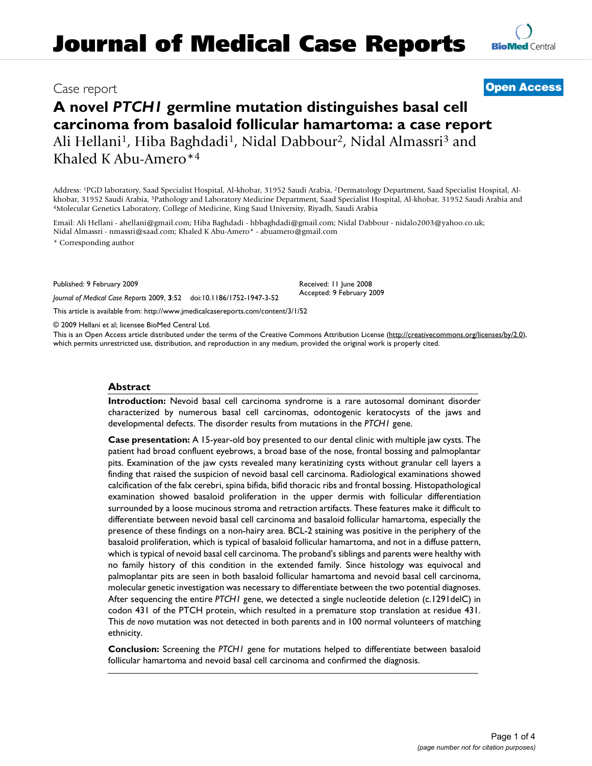# Case report **[Open Access](http://www.biomedcentral.com/info/about/charter/)**

# **A novel** *PTCH1* **germline mutation distinguishes basal cell carcinoma from basaloid follicular hamartoma: a case report** Ali Hellani<sup>1</sup>, Hiba Baghdadi<sup>1</sup>, Nidal Dabbour<sup>2</sup>, Nidal Almassri<sup>3</sup> and Khaled K Abu-Amero\*4

Address: 1PGD laboratory, Saad Specialist Hospital, Al-khobar, 31952 Saudi Arabia, 2Dermatology Department, Saad Specialist Hospital, Alkhobar, 31952 Saudi Arabia, <sup>3</sup>Pathology and Laboratory Medicine Department, Saad Specialist Hospital, Al-khobar, 31952 Saudi Arabia and<br><sup>4</sup>Molecular Genetics Laboratory, College of Medicine, King Saud University, Riyadh,

Email: Ali Hellani - ahellani@gmail.com; Hiba Baghdadi - hbbaghdadi@gmail.com; Nidal Dabbour - nidalo2003@yahoo.co.uk; Nidal Almassri - nmassri@saad.com; Khaled K Abu-Amero\* - abuamero@gmail.com

\* Corresponding author

Published: 9 February 2009

Received: 11 June 2008 Accepted: 9 February 2009

[This article is available from: http://www.jmedicalcasereports.com/content/3/1/52](http://www.jmedicalcasereports.com/content/3/1/52)

*Journal of Medical Case Reports* 2009, **3**:52 doi:10.1186/1752-1947-3-52

© 2009 Hellani et al; licensee BioMed Central Ltd.

This is an Open Access article distributed under the terms of the Creative Commons Attribution License [\(http://creativecommons.org/licenses/by/2.0\)](http://creativecommons.org/licenses/by/2.0), which permits unrestricted use, distribution, and reproduction in any medium, provided the original work is properly cited.

#### **Abstract**

**Introduction:** Nevoid basal cell carcinoma syndrome is a rare autosomal dominant disorder characterized by numerous basal cell carcinomas, odontogenic keratocysts of the jaws and developmental defects. The disorder results from mutations in the *PTCH1* gene.

**Case presentation:** A 15-year-old boy presented to our dental clinic with multiple jaw cysts. The patient had broad confluent eyebrows, a broad base of the nose, frontal bossing and palmoplantar pits. Examination of the jaw cysts revealed many keratinizing cysts without granular cell layers a finding that raised the suspicion of nevoid basal cell carcinoma. Radiological examinations showed calcification of the falx cerebri, spina bifida, bifid thoracic ribs and frontal bossing. Histopathological examination showed basaloid proliferation in the upper dermis with follicular differentiation surrounded by a loose mucinous stroma and retraction artifacts. These features make it difficult to differentiate between nevoid basal cell carcinoma and basaloid follicular hamartoma, especially the presence of these findings on a non-hairy area. BCL-2 staining was positive in the periphery of the basaloid proliferation, which is typical of basaloid follicular hamartoma, and not in a diffuse pattern, which is typical of nevoid basal cell carcinoma. The proband's siblings and parents were healthy with no family history of this condition in the extended family. Since histology was equivocal and palmoplantar pits are seen in both basaloid follicular hamartoma and nevoid basal cell carcinoma, molecular genetic investigation was necessary to differentiate between the two potential diagnoses. After sequencing the entire *PTCH1* gene, we detected a single nucleotide deletion (c.1291delC) in codon 431 of the PTCH protein, which resulted in a premature stop translation at residue 431. This *de novo* mutation was not detected in both parents and in 100 normal volunteers of matching ethnicity.

**Conclusion:** Screening the *PTCH1* gene for mutations helped to differentiate between basaloid follicular hamartoma and nevoid basal cell carcinoma and confirmed the diagnosis.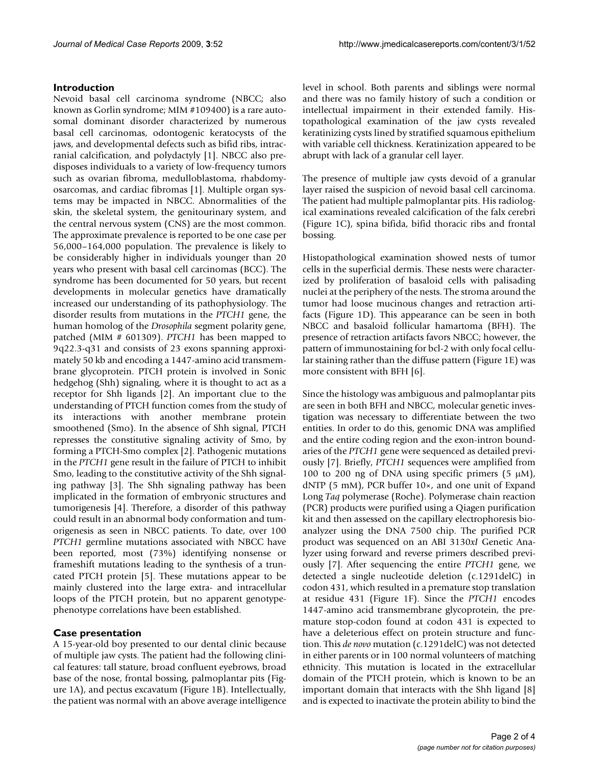#### **Introduction**

Nevoid basal cell carcinoma syndrome (NBCC; also known as Gorlin syndrome; MIM #109400) is a rare autosomal dominant disorder characterized by numerous basal cell carcinomas, odontogenic keratocysts of the jaws, and developmental defects such as bifid ribs, intracranial calcification, and polydactyly [1]. NBCC also predisposes individuals to a variety of low-frequency tumors such as ovarian fibroma, medulloblastoma, rhabdomyosarcomas, and cardiac fibromas [1]. Multiple organ systems may be impacted in NBCC. Abnormalities of the skin, the skeletal system, the genitourinary system, and the central nervous system (CNS) are the most common. The approximate prevalence is reported to be one case per 56,000–164,000 population. The prevalence is likely to be considerably higher in individuals younger than 20 years who present with basal cell carcinomas (BCC). The syndrome has been documented for 50 years, but recent developments in molecular genetics have dramatically increased our understanding of its pathophysiology. The disorder results from mutations in the *PTCH1* gene, the human homolog of the *Drosophila* segment polarity gene, patched (MIM # 601309). *PTCH1* has been mapped to 9q22.3-q31 and consists of 23 exons spanning approximately 50 kb and encoding a 1447-amino acid transmembrane glycoprotein. PTCH protein is involved in Sonic hedgehog (Shh) signaling, where it is thought to act as a receptor for Shh ligands [2]. An important clue to the understanding of PTCH function comes from the study of its interactions with another membrane protein smoothened (Smo). In the absence of Shh signal, PTCH represses the constitutive signaling activity of Smo, by forming a PTCH-Smo complex [2]. Pathogenic mutations in the *PTCH1* gene result in the failure of PTCH to inhibit Smo, leading to the constitutive activity of the Shh signaling pathway [3]. The Shh signaling pathway has been implicated in the formation of embryonic structures and tumorigenesis [4]. Therefore, a disorder of this pathway could result in an abnormal body conformation and tumorigenesis as seen in NBCC patients. To date, over 100 *PTCH1* germline mutations associated with NBCC have been reported, most (73%) identifying nonsense or frameshift mutations leading to the synthesis of a truncated PTCH protein [5]. These mutations appear to be mainly clustered into the large extra- and intracellular loops of the PTCH protein, but no apparent genotypephenotype correlations have been established.

# **Case presentation**

A 15-year-old boy presented to our dental clinic because of multiple jaw cysts. The patient had the following clinical features: tall stature, broad confluent eyebrows, broad base of the nose, frontal bossing, palmoplantar pits (Figure 1A), and pectus excavatum (Figure 1B). Intellectually, the patient was normal with an above average intelligence

level in school. Both parents and siblings were normal and there was no family history of such a condition or intellectual impairment in their extended family. Histopathological examination of the jaw cysts revealed keratinizing cysts lined by stratified squamous epithelium with variable cell thickness. Keratinization appeared to be abrupt with lack of a granular cell layer.

The presence of multiple jaw cysts devoid of a granular layer raised the suspicion of nevoid basal cell carcinoma. The patient had multiple palmoplantar pits. His radiological examinations revealed calcification of the falx cerebri (Figure 1C), spina bifida, bifid thoracic ribs and frontal bossing.

Histopathological examination showed nests of tumor cells in the superficial dermis. These nests were characterized by proliferation of basaloid cells with palisading nuclei at the periphery of the nests. The stroma around the tumor had loose mucinous changes and retraction artifacts (Figure 1D). This appearance can be seen in both NBCC and basaloid follicular hamartoma (BFH). The presence of retraction artifacts favors NBCC; however, the pattern of immunostaining for bcl-2 with only focal cellular staining rather than the diffuse pattern (Figure 1E) was more consistent with BFH [6].

Since the histology was ambiguous and palmoplantar pits are seen in both BFH and NBCC, molecular genetic investigation was necessary to differentiate between the two entities. In order to do this, genomic DNA was amplified and the entire coding region and the exon-intron boundaries of the *PTCH1* gene were sequenced as detailed previously [7]. Briefly, *PTCH1* sequences were amplified from 100 to 200 ng of DNA using specific primers  $(5 \mu M)$ , dNTP (5 mM), PCR buffer 10×, and one unit of Expand Long *Taq* polymerase (Roche). Polymerase chain reaction (PCR) products were purified using a Qiagen purification kit and then assessed on the capillary electrophoresis bioanalyzer using the DNA 7500 chip. The purified PCR product was sequenced on an ABI 3130*xI* Genetic Analyzer using forward and reverse primers described previously [7]. After sequencing the entire *PTCH1* gene, we detected a single nucleotide deletion (c.1291delC) in codon 431, which resulted in a premature stop translation at residue 431 (Figure 1F). Since the *PTCH1* encodes 1447-amino acid transmembrane glycoprotein, the premature stop-codon found at codon 431 is expected to have a deleterious effect on protein structure and function. This *de novo* mutation (c.1291delC) was not detected in either parents or in 100 normal volunteers of matching ethnicity. This mutation is located in the extracellular domain of the PTCH protein, which is known to be an important domain that interacts with the Shh ligand [8] and is expected to inactivate the protein ability to bind the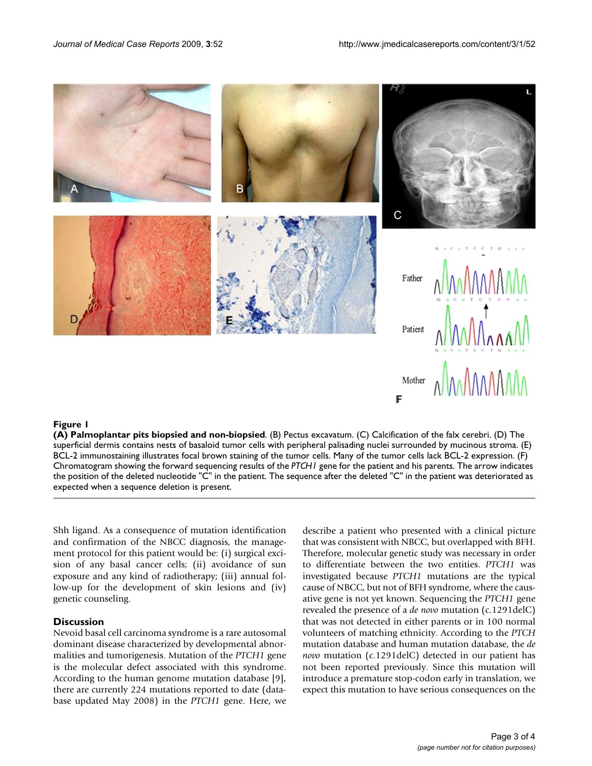

#### Figure 1

**(A) Palmoplantar pits biopsied and non-biopsied**. (B) Pectus excavatum. (C) Calcification of the falx cerebri. (D) The superficial dermis contains nests of basaloid tumor cells with peripheral palisading nuclei surrounded by mucinous stroma. (E) BCL-2 immunostaining illustrates focal brown staining of the tumor cells. Many of the tumor cells lack BCL-2 expression. (F) Chromatogram showing the forward sequencing results of the *PTCH1* gene for the patient and his parents. The arrow indicates the position of the deleted nucleotide "C" in the patient. The sequence after the deleted "C" in the patient was deteriorated as expected when a sequence deletion is present.

Shh ligand. As a consequence of mutation identification and confirmation of the NBCC diagnosis, the management protocol for this patient would be: (i) surgical excision of any basal cancer cells; (ii) avoidance of sun exposure and any kind of radiotherapy; (iii) annual follow-up for the development of skin lesions and (iv) genetic counseling.

#### **Discussion**

Nevoid basal cell carcinoma syndrome is a rare autosomal dominant disease characterized by developmental abnormalities and tumorigenesis. Mutation of the *PTCH1* gene is the molecular defect associated with this syndrome. According to the human genome mutation database [9], there are currently 224 mutations reported to date (database updated May 2008) in the *PTCH1* gene. Here, we describe a patient who presented with a clinical picture that was consistent with NBCC, but overlapped with BFH. Therefore, molecular genetic study was necessary in order to differentiate between the two entities. *PTCH1* was investigated because *PTCH1* mutations are the typical cause of NBCC, but not of BFH syndrome, where the causative gene is not yet known. Sequencing the *PTCH1* gene revealed the presence of a *de novo* mutation (c.1291delC) that was not detected in either parents or in 100 normal volunteers of matching ethnicity. According to the *PTCH* mutation database and human mutation database, the *de novo* mutation (c.1291delC) detected in our patient has not been reported previously. Since this mutation will introduce a premature stop-codon early in translation, we expect this mutation to have serious consequences on the